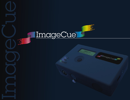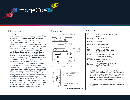

**ImageCue™** is a compact, easy to use image server that provides control of high definition still images and videos with only twelve channels of DMX512. Each **ImageCue™** includes a library of 255 images and videos. In addition, users can supply their own images and videos using a USB flash drive or external solid-state drive to provide access to over 65,000 image and video files. **ImageCue™** is fast **-** images and videos are selected and displayed/played in less than a quarter of a second. You can instantly "bump" from image to image, image to video, video to video, or video to image. Still images can also be crossfaded **-** with crossfade times of ½ second to 109 minutes in 1/10 second increments. **ImageCue™** accepts JPEG files for still images, and H264 (AVI) video files. PNG files with transparency can be overlaid onto images and videos. A software utility to convert user content to H264 is available for most common video file formats. **ImageCue™** gives the user full RGB mixing control of the background, and the color mixing can also be used in the foreground to tint images and videos. Full dimming control is provided for the output. **ImageCue™** provides the power and elegance to select and display images and videos from your DMX512 lighting console, without the complexity of a media server.

## Introduction Mechanical



### Processing

| CPU:                                                                                                                                                                                                                                                                                                                                                                                                                                                    | 900MHz Quad Core ARM Cortex-<br>A7 CPU                                    |  |  |  |  |
|---------------------------------------------------------------------------------------------------------------------------------------------------------------------------------------------------------------------------------------------------------------------------------------------------------------------------------------------------------------------------------------------------------------------------------------------------------|---------------------------------------------------------------------------|--|--|--|--|
| Graphics:                                                                                                                                                                                                                                                                                                                                                                                                                                               | VideoCore IV GPU                                                          |  |  |  |  |
| Memory:                                                                                                                                                                                                                                                                                                                                                                                                                                                 | 1GB RAM                                                                   |  |  |  |  |
| NV Memory:                                                                                                                                                                                                                                                                                                                                                                                                                                              | 16GB micro SD card <sup>1</sup>                                           |  |  |  |  |
| OS:                                                                                                                                                                                                                                                                                                                                                                                                                                                     | Custom Linux Kernel <sup>1</sup>                                          |  |  |  |  |
| USB:                                                                                                                                                                                                                                                                                                                                                                                                                                                    | 2 USB Ports for USB Flash Drive<br>or External Hard Drive ONLY            |  |  |  |  |
| Video:                                                                                                                                                                                                                                                                                                                                                                                                                                                  | High Definition 1920 x 1080p via<br>HDMI connector (default) <sup>2</sup> |  |  |  |  |
|                                                                                                                                                                                                                                                                                                                                                                                                                                                         | LCD Display: 2 rows x 16 alpha numeric<br>characters                      |  |  |  |  |
| Navigation:                                                                                                                                                                                                                                                                                                                                                                                                                                             | 5 way navigation (up, down, left,<br>right, press to select)              |  |  |  |  |
| 1<br>WARNING: Do not attempt to use the ImageCue <sup>™</sup> SD card with a<br>Raspberry Pi without the ImageCue <sup>™</sup> PCB. Likewise you should not<br>attempt to use a SD card with an operating system for a Raspberry Pi<br>(Raspbian, Pidora, OpenELEC, OSMC, ArchLinux, RISC OS, etc) in<br>ImageCue <sup>™</sup> . In either case, permanent damage not covered by the<br>warranty may occur to a Raspberry Pi or ImageCue <sup>™</sup> . |                                                                           |  |  |  |  |
| $\overline{2}$<br>resolutions available.                                                                                                                                                                                                                                                                                                                                                                                                                | HDMI to DVI adapter included with every unit. Other menu selectable       |  |  |  |  |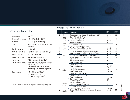# Operating Parameters

| Compliances:                                                             | FCC, CE                                                                                                                             |  |  |  |  |
|--------------------------------------------------------------------------|-------------------------------------------------------------------------------------------------------------------------------------|--|--|--|--|
| <b>Operating Temperature:</b>                                            | $0^{\circ}$ C - 49 $^{\circ}$ C (32 $^{\circ}$ F - 120 $^{\circ}$ F)                                                                |  |  |  |  |
| Humidity:                                                                | 5% - 95% (non-condensing)                                                                                                           |  |  |  |  |
| Control:                                                                 | DMX512A ANSI E1.11 - 2008 (R2013)<br>RDM ANSLE1.20 - 2010                                                                           |  |  |  |  |
| DMX512 Footprint:                                                        | 12 Channels                                                                                                                         |  |  |  |  |
| DMX512 Connectors:                                                       | 5-pin Male and 5-pin Female XLR type                                                                                                |  |  |  |  |
| DMX512 Isolation:                                                        | ISOLATED 2500 VRMS                                                                                                                  |  |  |  |  |
| DMX512 Termination:                                                      | User supplied termination                                                                                                           |  |  |  |  |
| Input Voltage:                                                           | 5VDC (regulated) $@$ 3A (15W)                                                                                                       |  |  |  |  |
| <b>External Power Supply:</b>                                            | Triad #WSU050-3000 (North America)<br>File E345519<br>EMI standard: FCC part 15 class B<br>Over voltage and short circuit protected |  |  |  |  |
| Stock Images:                                                            | 205 - Still images (JPEG) <sup>3</sup><br>50 - HD videos (H264) <sup>3</sup><br>55 - Overlay images (PNG) <sup>3</sup>              |  |  |  |  |
| NOTICE: All images and videos are copyright 2015 Breckinridge Design LLC |                                                                                                                                     |  |  |  |  |

 $\mathop{\rm Image}\nolimits^{\mathbb{I}\mathbb{M}}$  DMX Profile 1

| Chan            | Parameter                    | Description                                                                | <b>DMX</b><br>Value  | <b>Default</b><br>Value |  |
|-----------------|------------------------------|----------------------------------------------------------------------------|----------------------|-------------------------|--|
| 1               | Dimmer                       | Output intensity from blackout (0) to full intensity (255)                 | $0 - 255$            | 255                     |  |
|                 | Image                        | Stock JPEG and H264 Video                                                  | $\mathbf{0}$         |                         |  |
| $\overline{c}$  | Source                       | User Folder /imagecue001                                                   | $\overline{1}$       | $\mathbf{0}$            |  |
|                 | Folder<br>$\star$            | User Folders /imagecue002 - 255                                            | $2 - 255$            |                         |  |
|                 |                              | No Selection (OPEN)                                                        | $\mathbf{0}$         |                         |  |
| 3               | Image<br>Select<br>$\star$   | First Image File (001)                                                     | 1                    | $\mathbf{0}$            |  |
|                 |                              | Additional Image Files (002 - 255)                                         | $2 - 255$            |                         |  |
| $\overline{4}$  |                              | Fade Time - Coarse (25.6 sec per step)                                     | $0 - 255$            | $\pmb{0}$               |  |
| $\overline{5}$  | Fade Time                    | Fade Time - Fine (0.1 sec per step)                                        | $0 - 255$            | $\Omega$                |  |
| $\overline{6}$  |                              | Red saturation from none (0) to full saturation (255)                      | $0 - 255$            | 255                     |  |
| $\overline{7}$  |                              | Green saturation from none (0) to full saturation (255)                    | $0 - 255$            | 255                     |  |
| $\overline{8}$  | Color                        | Blue saturation from none (0) to full saturation (255)                     | $0 - 255$            | 255                     |  |
| 9               |                              | Master Color Saturation from none (0) to full saturation<br>(opaque) (255) | $0 - 255$            | $\mathbf{0}$            |  |
|                 | Mode<br>Control<br>$\star$   | No Control Mode Selected                                                   | $\mathbf{0}$         | $\mathbf{0}$            |  |
|                 |                              | <b>Future Control Modes</b>                                                | $1 - 63$             |                         |  |
|                 |                              | Color in front of image                                                    | 64                   |                         |  |
|                 |                              | <b>Future Control Modes</b>                                                | $65 - 127$           |                         |  |
|                 |                              | Video play once and exit                                                   | 128                  |                         |  |
| 10              |                              | Video play once and freeze                                                 | 129                  |                         |  |
|                 |                              | <b>Future Control Modes</b>                                                | $130 - 191$          |                         |  |
|                 |                              | Color in front & Video play once                                           | 192                  |                         |  |
|                 |                              | Color front & Video once freeze                                            | 193                  |                         |  |
|                 |                              | <b>Future Control Modes</b>                                                | 194 - 254            |                         |  |
|                 |                              | Display software version                                                   | 255                  |                         |  |
|                 | Overlay<br>Select<br>$\star$ | No Selection (OPEN)                                                        | 0                    |                         |  |
|                 |                              | First User Overlay File (001)                                              | 1                    |                         |  |
| 11              |                              | Add'l User Overlay Files (002 - 200)                                       | $2 - 200$            | $\mathbf{0}$            |  |
|                 |                              | First Stock Overlay File (201)                                             | 201                  |                         |  |
|                 |                              | Add'l Stock Overlay Files (202 - 255)                                      | $202 - 255$          |                         |  |
| $\overline{12}$ | Overlay<br><b>Opacity</b>    | Opacity of Overlay Image from transparent (0) to opaque<br>(255)           | $\overline{0}$ - 225 | 255                     |  |

<del>★</del> "Snap" attribute "Snap" attribute